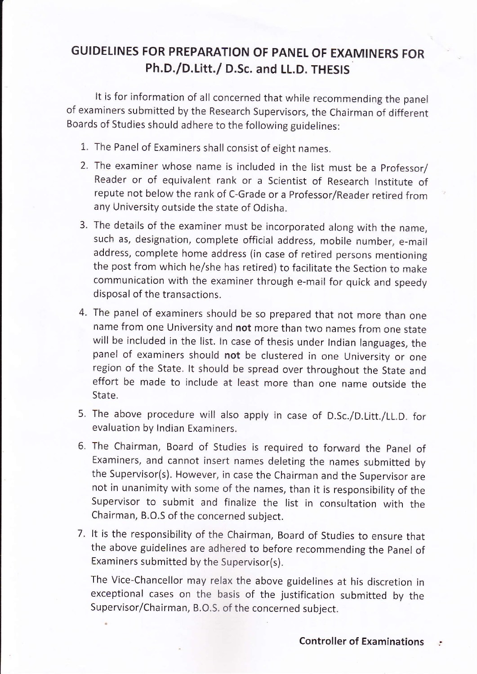## GUIDELINES FOR PREPARATION OF PANEL OF EXAMINERS FOR Ph.D./D.Litt./ D.Sc. and LL.D. THESIS

It is for information of all concerned that while recommending the panel of examiners submitted by the Research supervisors, the chairman of different Boards of Studies should adhere to the following guidelines:

- 1. The Panel of Examiners shall consist of eight names.
- 2. The examiner whose name is included in the list must be a professor/ Reader or of equivalent rank or a Scientist of Research lnstitute of repute not below the rank of C-Grade or a professor/Reader retired from any University outside the state of Odisha.
- 3. The details of the examiner must be incorporated along with the name, such as, designation, complete official address, mobile number, e-mail address, complete home address (in case of retired persons mentioning the post from which he/she has retired) to facilitate the Section to make communication with the examiner through e-mail for quick and speedy disposal of the transactions.
- 4. The panel of examiners should be so prepared that not more than one name from one University and not more than two names from one state will be included in the list. ln case of thesis under lndian languages, the panel of examiners should not be clustered in one University or one region of the State. lt should be spread over throughout the State and effort be made to include at least more than one name outside the State.
- 5. The above procedure will also apply in case of D.Sc./D.Litt./LL.D. for evaluation by Indian Examiners.
- The Chairman, Board of Studies is required to forward the panel of 6. Examiners, and cannot insert names deleting the names submitted by the Supervisor(s). However, in case the Chairman and the Supervisor are not in unanimity with some of the names, than it is responsibility of the Supervisor to submit and finalize the list in consultation with the Chairman, B.O.S of the concerned subject.
- 7. It is the responsibility of the Chairman, Board of Studies to ensure that the above guidelines are adhered to before recommending the panel of Examiners submitted by the Supervisor(s).

The Vice-Chancellor may relax the above guidelines at his discretion in exceptional cases on the basis of the justification submitted by the Supervisor/Chairman, B.O.S. of the concerned subject.